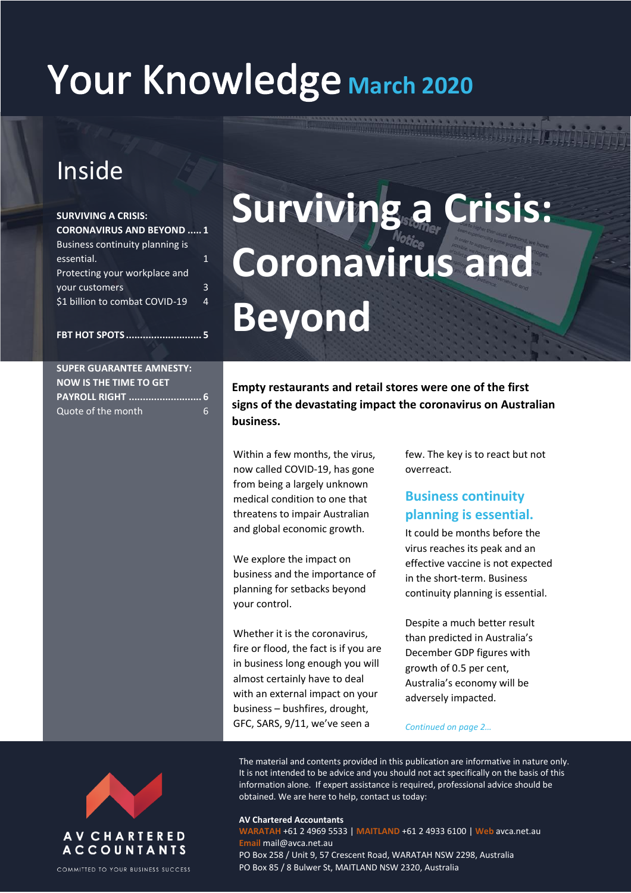# Your Knowledge March 2020

## Inside

| <b>SURVIVING A CRISIS:</b>      |   |
|---------------------------------|---|
| <b>CORONAVIRUS AND BEYOND 1</b> |   |
| Business continuity planning is |   |
| essential.                      |   |
| Protecting your workplace and   |   |
| your customers                  | २ |
| \$1 billion to combat COVID-19  | 4 |
|                                 |   |
|                                 |   |

# **Surviving a Crisis: Coronavirus and Beyond**

## **SUPER GUARANTEE AMNESTY:**

**FBT HOT SPOTS ........................... 5**

| <b>NOW IS THE TIME TO GET</b> |  |
|-------------------------------|--|
|                               |  |
| Quote of the month<br>6       |  |

**Empty restaurants and retail stores were one of the first signs of the devastating impact the coronavirus on Australian business.**

Within a few months, the virus, now called COVID-19, has gone from being a largely unknown medical condition to one that threatens to impair Australian and global economic growth.

We explore the impact on business and the importance of planning for setbacks beyond your control.

Whether it is the coronavirus, fire or flood, the fact is if you are in business long enough you will almost certainly have to deal with an external impact on your business – bushfires, drought, GFC, SARS, 9/11, we've seen a

few. The key is to react but not overreact.

### **Business continuity planning is essential.**

It could be months before the virus reaches its peak and an effective vaccine is not expected in the short-term. Business continuity planning is essential.

Despite a much better result than predicted in Australia's December GDP figures with growth of 0.5 per cent, Australia's economy will be adversely impacted.

#### *Continued on page 2…*

The material and contents provided in this publication are informative in nature only. It is not intended to be advice and you should not act specifically on the basis of this information alone. If expert assistance is required, professional advice should be obtained. We are here to help, contact us today:

#### **AV Chartered Accountants**

**WARATAH** +61 2 4969 5533 | **MAITLAND** +61 2 4933 6100 | **Web** avca.net.au **Email** mail@avca.net.au PO Box 258 / Unit 9, 57 Crescent Road, WARATAH NSW 2298, Australia PO Box 85 / 8 Bulwer St, MAITLAND NSW 2320, Australia



COMMITTED TO YOUR BUSINESS SUCCESS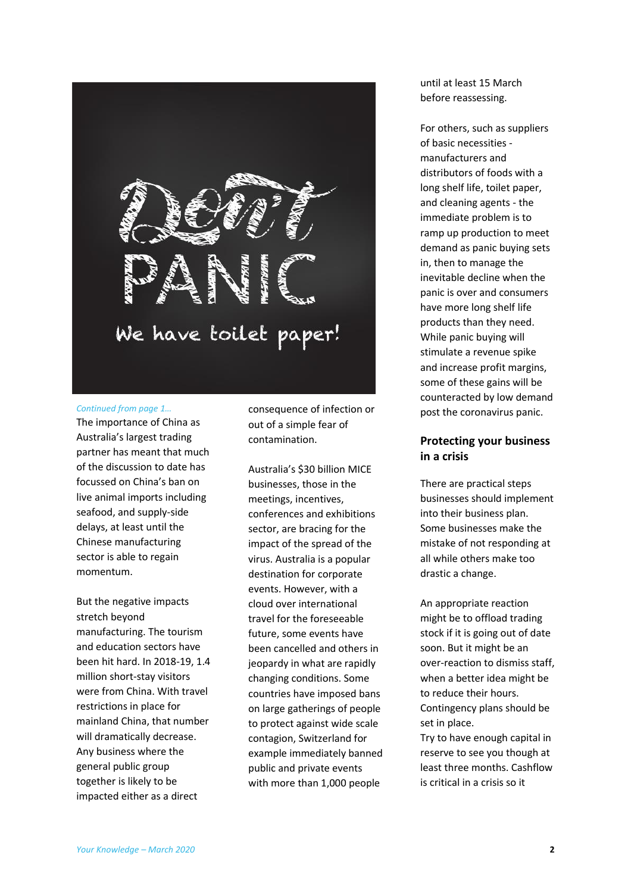

#### *Continued from page 1…*

The importance of China as Australia's largest trading partner has meant that much of the discussion to date has focussed on China's ban on live animal imports including seafood, and supply-side delays, at least until the Chinese manufacturing sector is able to regain momentum.

But the negative impacts stretch beyond manufacturing. The tourism and education sectors have been hit hard. In 2018-19, 1.4 million short-stay visitors were from China. With travel restrictions in place for mainland China, that number will dramatically decrease. Any business where the general public group together is likely to be impacted either as a direct

consequence of infection or out of a simple fear of contamination.

Australia's \$30 billion MICE businesses, those in the meetings, incentives, conferences and exhibitions sector, are bracing for the impact of the spread of the virus. Australia is a popular destination for corporate events. However, with a cloud over international travel for the foreseeable future, some events have been cancelled and others in jeopardy in what are rapidly changing conditions. Some countries have imposed bans on large gatherings of people to protect against wide scale contagion, Switzerland for example immediately banned public and private events with more than 1,000 people

until at least 15 March before reassessing.

For others, such as suppliers of basic necessities manufacturers and distributors of foods with a long shelf life, toilet paper, and cleaning agents - the immediate problem is to ramp up production to meet demand as panic buying sets in, then to manage the inevitable decline when the panic is over and consumers have more long shelf life products than they need. While panic buying will stimulate a revenue spike and increase profit margins, some of these gains will be counteracted by low demand post the coronavirus panic.

#### **Protecting your business in a crisis**

There are practical steps businesses should implement into their business plan. Some businesses make the mistake of not responding at all while others make too drastic a change.

An appropriate reaction might be to offload trading stock if it is going out of date soon. But it might be an over-reaction to dismiss staff, when a better idea might be to reduce their hours. Contingency plans should be set in place.

Try to have enough capital in reserve to see you though at least three months. Cashflow is critical in a crisis so it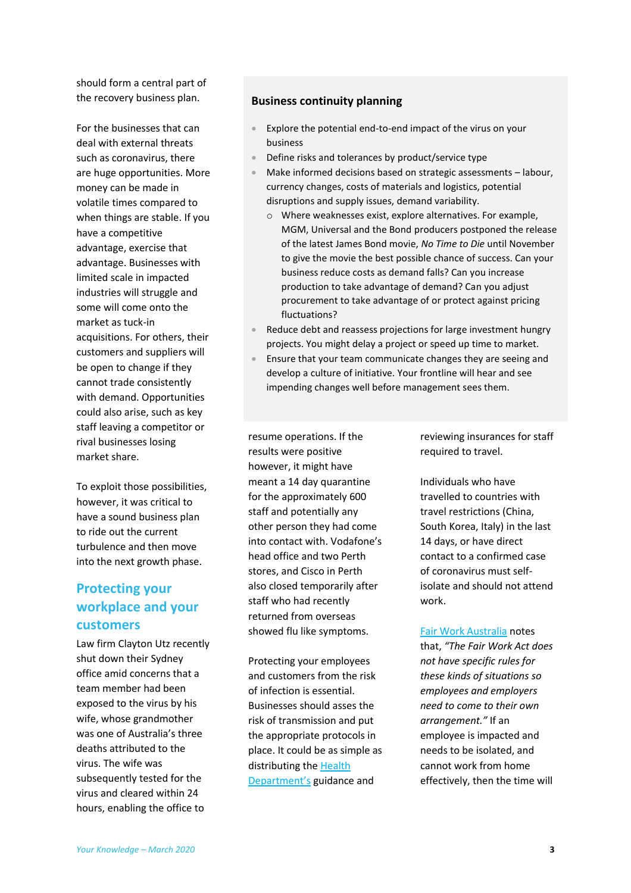should form a central part of the recovery business plan.

For the businesses that can deal with external threats such as coronavirus, there are huge opportunities. More money can be made in volatile times compared to when things are stable. If you have a competitive advantage, exercise that advantage. Businesses with limited scale in impacted industries will struggle and some will come onto the market as tuck-in acquisitions. For others, their customers and suppliers will be open to change if they cannot trade consistently with demand. Opportunities could also arise, such as key staff leaving a competitor or rival businesses losing market share.

To exploit those possibilities, however, it was critical to have a sound business plan to ride out the current turbulence and then move into the next growth phase.

### **Protecting your workplace and your customers**

Law firm Clayton Utz recently shut down their Sydney office amid concerns that a team member had been exposed to the virus by his wife, whose grandmother was one of Australia's three deaths attributed to the virus. The wife was subsequently tested for the virus and cleared within 24 hours, enabling the office to

#### **Business continuity planning**

- Explore the potential end-to-end impact of the virus on your business
- Define risks and tolerances by product/service type
- Make informed decisions based on strategic assessments labour, currency changes, costs of materials and logistics, potential disruptions and supply issues, demand variability.
	- o Where weaknesses exist, explore alternatives. For example, MGM, Universal and the Bond producers postponed the release of the latest James Bond movie, *No Time to Die* until November to give the movie the best possible chance of success. Can your business reduce costs as demand falls? Can you increase production to take advantage of demand? Can you adjust procurement to take advantage of or protect against pricing fluctuations?
- Reduce debt and reassess projections for large investment hungry projects. You might delay a project or speed up time to market.
- Ensure that your team communicate changes they are seeing and develop a culture of initiative. Your frontline will hear and see impending changes well before management sees them.

resume operations. If the results were positive however, it might have meant a 14 day quarantine for the approximately 600 staff and potentially any other person they had come into contact with. Vodafone's head office and two Perth stores, and Cisco in Perth also closed temporarily after staff who had recently returned from overseas showed flu like symptoms.

Protecting your employees and customers from the risk of infection is essential. Businesses should asses the risk of transmission and put the appropriate protocols in place. It could be as simple as distributing the [Health](https://www.health.gov.au/health-topics/novel-coronavirus-2019-ncov)  [Department's](https://www.health.gov.au/health-topics/novel-coronavirus-2019-ncov) guidance and

reviewing insurances for staff required to travel.

Individuals who have travelled to countries with travel restrictions (China, South Korea, Italy) in the last 14 days, or have direct contact to a confirmed case of coronavirus must selfisolate and should not attend work.

#### [Fair Work Australia](https://www.fairwork.gov.au/about-us/news-and-media-releases/website-news/coronavirus-and-australian-workplace-laws) notes

that, *"The Fair Work Act does not have specific rules for these kinds of situations so employees and employers need to come to their own arrangement."* If an employee is impacted and needs to be isolated, and cannot work from home effectively, then the time will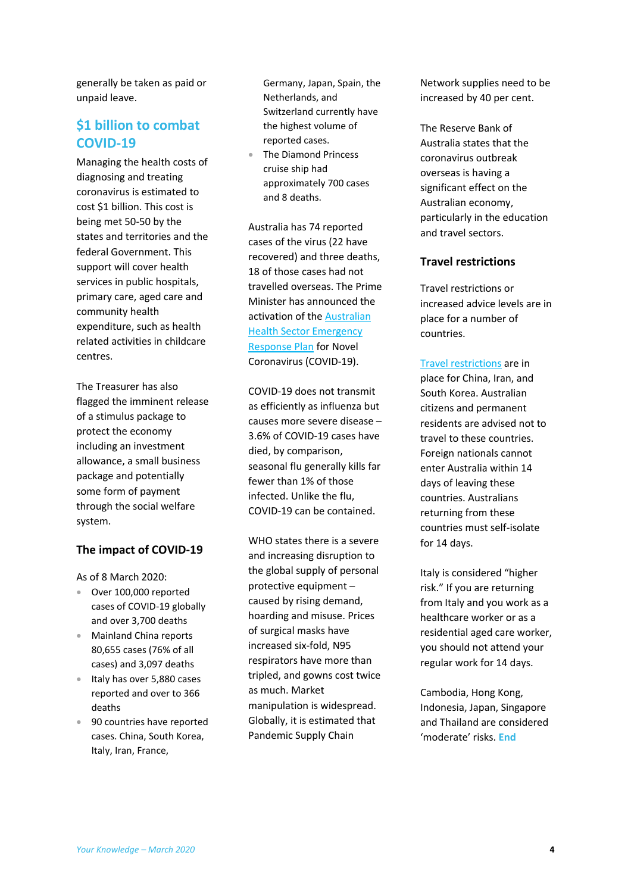generally be taken as paid or unpaid leave.

### **\$1 billion to combat COVID-19**

Managing the health costs of diagnosing and treating coronavirus is estimated to cost \$1 billion. This cost is being met 50-50 by the states and territories and the federal Government. This support will cover health services in public hospitals, primary care, aged care and community health expenditure, such as health related activities in childcare centres.

The Treasurer has also flagged the imminent release of a stimulus package to protect the economy including an investment allowance, a small business package and potentially some form of payment through the social welfare system.

#### **The impact of COVID-19**

As of 8 March 2020:

- Over 100,000 reported cases of COVID-19 globally and over 3,700 deaths
- Mainland China reports 80,655 cases (76% of all cases) and 3,097 deaths
- **Italy has over 5,880 cases** reported and over to 366 deaths
- 90 countries have reported cases. China, South Korea, Italy, Iran, France,

Germany, Japan, Spain, the Netherlands, and Switzerland currently have the highest volume of reported cases.

 The Diamond Princess cruise ship had approximately 700 cases and 8 deaths.

Australia has 74 reported cases of the virus (22 have recovered) and three deaths, 18 of those cases had not travelled overseas. The Prime Minister has announced the activation of th[e Australian](https://www.health.gov.au/resources/publications/australian-health-sector-emergency-response-plan-for-novel-coronavirus-covid-19)  [Health Sector Emergency](https://www.health.gov.au/resources/publications/australian-health-sector-emergency-response-plan-for-novel-coronavirus-covid-19)  [Response Plan](https://www.health.gov.au/resources/publications/australian-health-sector-emergency-response-plan-for-novel-coronavirus-covid-19) for Novel Coronavirus (COVID-19).

COVID-19 does not transmit as efficiently as influenza but causes more severe disease – 3.6% of COVID-19 cases have died, by comparison, seasonal flu generally kills far fewer than 1% of those infected. Unlike the flu, COVID-19 can be contained.

WHO states there is a severe and increasing disruption to the global supply of personal protective equipment – caused by rising demand, hoarding and misuse. Prices of surgical masks have increased six-fold, N95 respirators have more than tripled, and gowns cost twice as much. Market manipulation is widespread. Globally, it is estimated that Pandemic Supply Chain

Network supplies need to be increased by 40 per cent.

The Reserve Bank of Australia states that the coronavirus outbreak overseas is having a significant effect on the Australian economy, particularly in the education and travel sectors.

#### **Travel restrictions**

Travel restrictions or increased advice levels are in place for a number of countries.

[Travel restrictions](https://www.health.gov.au/news/health-alerts/novel-coronavirus-2019-ncov-health-alert#travellers-and-visitors) are in place for China, Iran, and South Korea. Australian citizens and permanent residents are advised not to travel to these countries. Foreign nationals cannot enter Australia within 14 days of leaving these countries. Australians returning from these countries must self-isolate for 14 days.

Italy is considered "higher risk." If you are returning from Italy and you work as a healthcare worker or as a residential aged care worker, you should not attend your regular work for 14 days.

Cambodia, Hong Kong, Indonesia, Japan, Singapore and Thailand are considered 'moderate' risks. **End**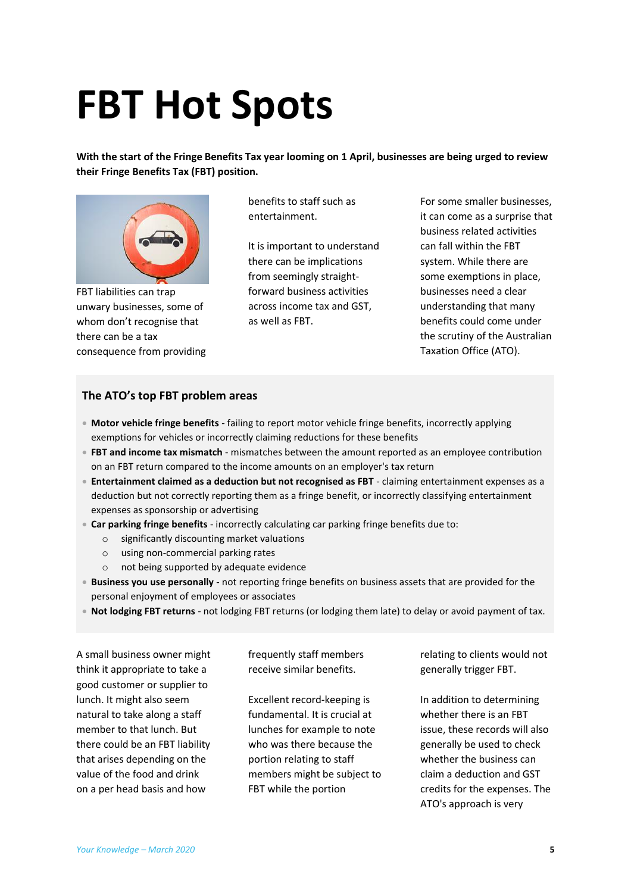# **FBT Hot Spots**

**With the start of the Fringe Benefits Tax year looming on 1 April, businesses are being urged to review their Fringe Benefits Tax (FBT) position.**



FBT liabilities can trap unwary businesses, some of whom don't recognise that there can be a tax consequence from providing benefits to staff such as entertainment.

It is important to understand there can be implications from seemingly straightforward business activities across income tax and GST, as well as FBT.

For some smaller businesses, it can come as a surprise that business related activities can fall within the FBT system. While there are some exemptions in place, businesses need a clear understanding that many benefits could come under the scrutiny of the Australian Taxation Office (ATO).

#### **The ATO's top FBT problem areas**

- **Motor vehicle fringe benefits** failing to report motor vehicle fringe benefits, incorrectly applying exemptions for vehicles or incorrectly claiming reductions for these benefits
- **FBT and income tax mismatch** mismatches between the amount reported as an employee contribution on an FBT return compared to the income amounts on an employer's tax return
- **Entertainment claimed as a deduction but not recognised as FBT** claiming entertainment expenses as a deduction but not correctly reporting them as a fringe benefit, or incorrectly classifying entertainment expenses as sponsorship or advertising
- **Car parking fringe benefits** incorrectly calculating car parking fringe benefits due to:
	- o significantly discounting market valuations
	- o using non-commercial parking rates
	- o not being supported by adequate evidence
- **Business you use personally** not reporting fringe benefits on business assets that are provided for the personal enjoyment of employees or associates
- **Not lodging FBT returns** not lodging FBT returns (or lodging them late) to delay or avoid payment of tax.

A small business owner might think it appropriate to take a good customer or supplier to lunch. It might also seem natural to take along a staff member to that lunch. But there could be an FBT liability that arises depending on the value of the food and drink on a per head basis and how

frequently staff members receive similar benefits.

Excellent record-keeping is fundamental. It is crucial at lunches for example to note who was there because the portion relating to staff members might be subject to FBT while the portion

relating to clients would not generally trigger FBT.

In addition to determining whether there is an FBT issue, these records will also generally be used to check whether the business can claim a deduction and GST credits for the expenses. The ATO's approach is very